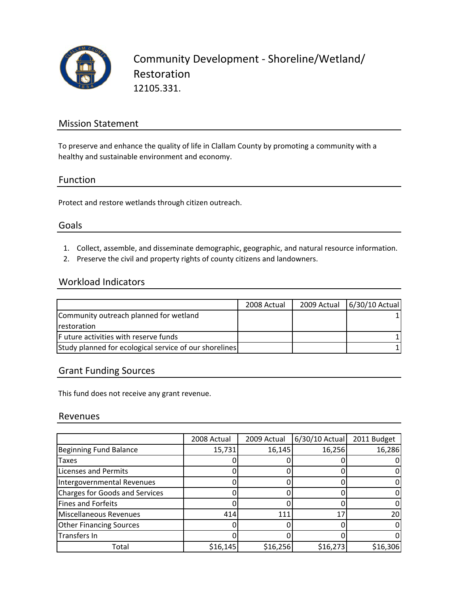

## Mission Statement

To preserve and enhance the quality of life in Clallam County by promoting a community with a healthy and sustainable environment and economy.

#### Function

Protect and restore wetlands through citizen outreach.

#### Goals

- 1. Collect, assemble, and disseminate demographic, geographic, and natural resource information.
- 2. Preserve the civil and property rights of county citizens and landowners.

### Workload Indicators

|                                                        | 2008 Actual | 2009 Actual | 6/30/10 Actual |
|--------------------------------------------------------|-------------|-------------|----------------|
| Community outreach planned for wetland                 |             |             |                |
| <b>restoration</b>                                     |             |             |                |
| F uture activities with reserve funds                  |             |             |                |
| Study planned for ecological service of our shorelines |             |             |                |

### Grant Funding Sources

This fund does not receive any grant revenue.

#### Revenues

|                                       | 2008 Actual | 2009 Actual | $6/30/10$ Actual | 2011 Budget |
|---------------------------------------|-------------|-------------|------------------|-------------|
| <b>Beginning Fund Balance</b>         | 15,731      | 16,145      | 16,256           | 16,286      |
| Taxes                                 |             |             |                  |             |
| Licenses and Permits                  |             |             |                  |             |
| Intergovernmental Revenues            |             |             |                  |             |
| <b>Charges for Goods and Services</b> |             |             |                  |             |
| <b>Fines and Forfeits</b>             |             |             |                  |             |
| <b>Miscellaneous Revenues</b>         | 414         | 111         | 17               | 20          |
| <b>Other Financing Sources</b>        |             |             |                  |             |
| Transfers In                          |             |             |                  |             |
| Total                                 | \$16,145    | \$16,256    | \$16,273         | \$16,306    |